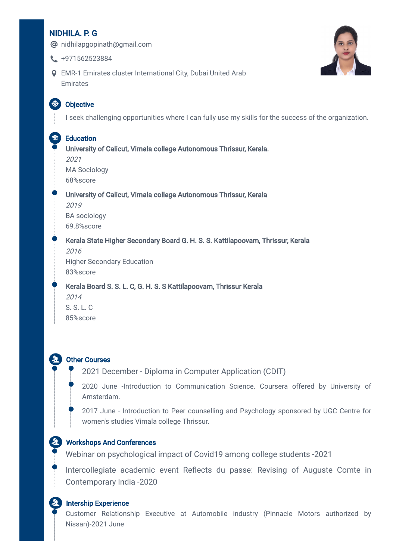# NIDHILA. P. G

**@** nidhilapgopinath@gmail.com



- $\leftarrow$  +971562523884
- EMR-1 Emirates cluster International City, Dubai United Arab Emirates

# **ED** Objective

I seek challenging opportunities where I can fully use my skills for the success of the organization.

# **Education**

University of Calicut, Vimala college Autonomous Thrissur, Kerala. 2021 MA Sociology 68%score University of Calicut, Vimala college Autonomous Thrissur, Kerala 2019 BA sociology 69.8%score Kerala State Higher Secondary Board G. H. S. S. Kattilapoovam, Thrissur, Kerala 2016 Higher Secondary Education 83%score Kerala Board S. S. L. C, G. H. S. S Kattilapoovam, Thrissur Kerala

2014 S. S. L. C 85%score

### Other Courses

2021 December - Diploma in Computer Application (CDIT)

2020 June -Introduction to Communication Science. Coursera offered by University of Amsterdam.

2017 June - Introduction to Peer counselling and Psychology sponsored by UGC Centre for women's studies Vimala college Thrissur.

### Workshops And Conferences

Webinar on psychological impact of Covid19 among college students -2021

Intercollegiate academic event Reflects du passe: Revising of Auguste Comte in Contemporary India -2020

#### **Intership Experience**

Customer Relationship Executive at Automobile industry (Pinnacle Motors authorized by Nissan)-2021 June